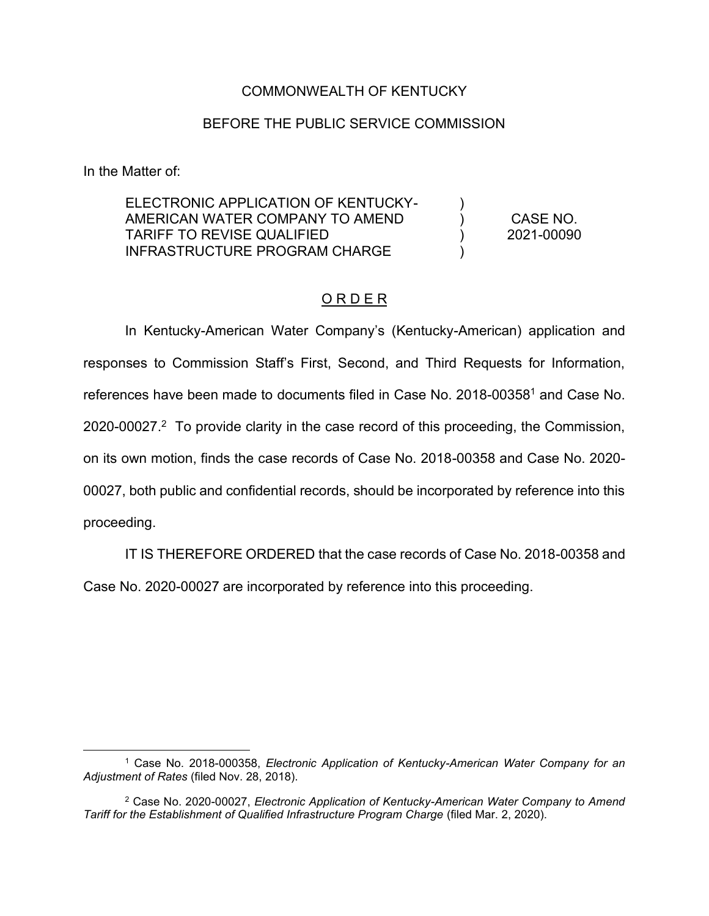## COMMONWEALTH OF KENTUCKY

## BEFORE THE PUBLIC SERVICE COMMISSION

In the Matter of:

ELECTRONIC APPLICATION OF KENTUCKY-AMERICAN WATER COMPANY TO AMEND TARIFF TO REVISE QUALIFIED INFRASTRUCTURE PROGRAM CHARGE )  $\lambda$  $\lambda$ ) CASE NO.

2021-00090

## O R D E R

In Kentucky-American Water Company's (Kentucky-American) application and responses to Commission Staff's First, Second, and Third Requests for Information, references have been made to documents filed in Case No. 2018-003581 and Case No. 2020-00027.<sup>2</sup> To provide clarity in the case record of this proceeding, the Commission, on its own motion, finds the case records of Case No. 2018-00358 and Case No. 2020- 00027, both public and confidential records, should be incorporated by reference into this proceeding.

IT IS THEREFORE ORDERED that the case records of Case No. 2018-00358 and

Case No. 2020-00027 are incorporated by reference into this proceeding.

<sup>1</sup> Case No. 2018-000358, *Electronic Application of Kentucky-American Water Company for an Adjustment of Rates* (filed Nov. 28, 2018).

<sup>2</sup> Case No. 2020-00027, *Electronic Application of Kentucky-American Water Company to Amend Tariff for the Establishment of Qualified Infrastructure Program Charge* (filed Mar. 2, 2020).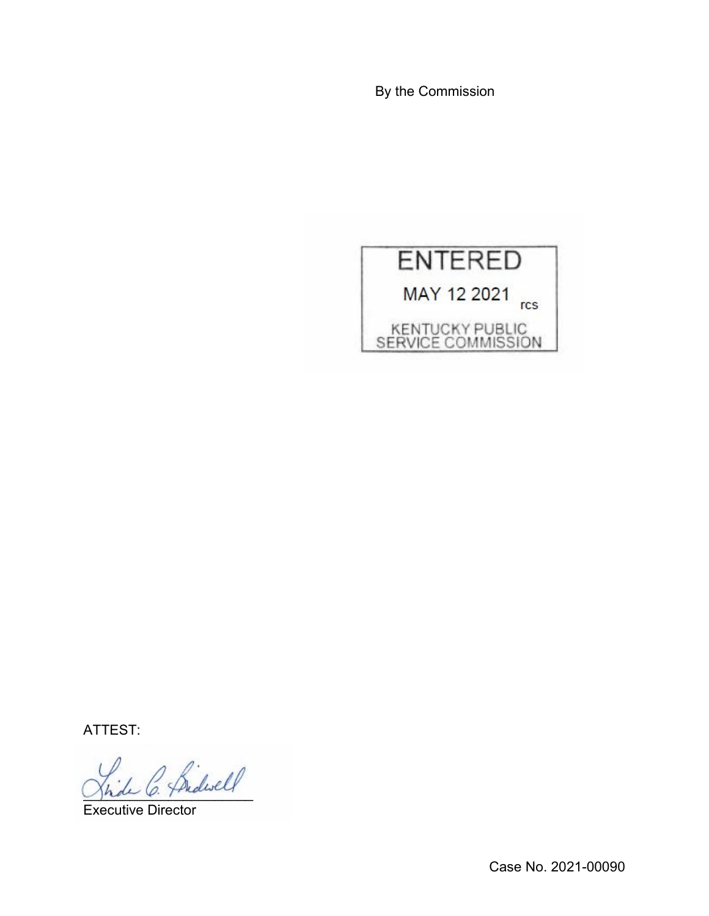By the Commission



ATTEST:

\_\_\_\_\_\_\_\_\_\_\_\_\_\_\_\_\_\_\_\_\_\_

Executive Director

Case No. 2021-00090